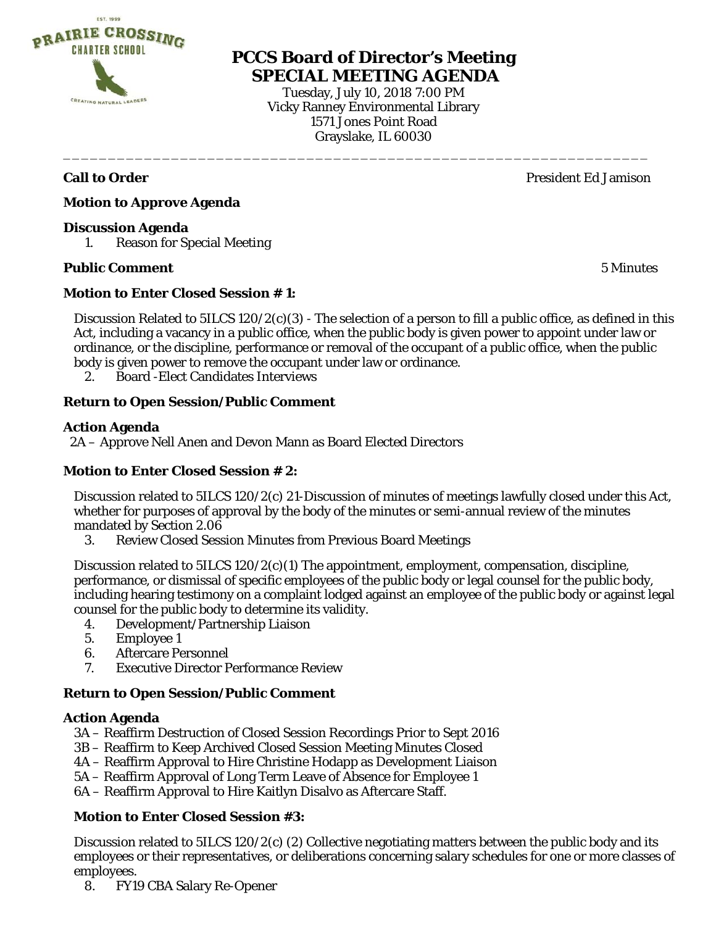

# **PCCS Board of Director's Meeting SPECIAL MEETING AGENDA**

Tuesday, July 10, 2018 7:00 PM Vicky Ranney Environmental Library 1571 Jones Point Road Grayslake, IL 60030

\_\_\_\_\_\_\_\_\_\_\_\_\_\_\_\_\_\_\_\_\_\_\_\_\_\_\_\_\_\_\_\_\_\_\_\_\_\_\_\_\_\_\_\_\_\_\_\_\_\_\_\_\_\_\_\_\_\_\_\_\_\_\_\_\_

**Call to Order** President Ed Jamison

**Motion to Approve Agenda** 

#### **Discussion Agenda**

1. Reason for Special Meeting

#### **Public Comment** 5 Minutes

### **Motion to Enter Closed Session # 1:**

Discussion Related to  $5ILCS 120/2(c)(3)$  - The selection of a person to fill a public office, as defined in this Act, including a vacancy in a public office, when the public body is given power to appoint under law or ordinance, or the discipline, performance or removal of the occupant of a public office, when the public body is given power to remove the occupant under law or ordinance.

2. Board -Elect Candidates Interviews

## **Return to Open Session/Public Comment**

#### **Action Agenda**

2A – Approve Nell Anen and Devon Mann as Board Elected Directors

#### **Motion to Enter Closed Session # 2:**

Discussion related to 5ILCS 120/2(c) 21-Discussion of minutes of meetings lawfully closed under this Act, whether for purposes of approval by the body of the minutes or semi-annual review of the minutes mandated by Section 2.06

3. Review Closed Session Minutes from Previous Board Meetings

Discussion related to 5ILCS 120/2(c)(1) The appointment, employment, compensation, discipline, performance, or dismissal of specific employees of the public body or legal counsel for the public body, including hearing testimony on a complaint lodged against an employee of the public body or against legal counsel for the public body to determine its validity.

- 4. Development/Partnership Liaison
- 5. Employee 1
- 6. Aftercare Personnel
- 7. Executive Director Performance Review

#### **Return to Open Session/Public Comment**

#### **Action Agenda**

- 3A Reaffirm Destruction of Closed Session Recordings Prior to Sept 2016
- 3B Reaffirm to Keep Archived Closed Session Meeting Minutes Closed
- 4A Reaffirm Approval to Hire Christine Hodapp as Development Liaison
- 5A Reaffirm Approval of Long Term Leave of Absence for Employee 1
- 6A Reaffirm Approval to Hire Kaitlyn Disalvo as Aftercare Staff.

# **Motion to Enter Closed Session #3:**

Discussion related to 5ILCS 120/2(c) (2) Collective negotiating matters between the public body and its employees or their representatives, or deliberations concerning salary schedules for one or more classes of employees.

8. FY19 CBA Salary Re-Opener